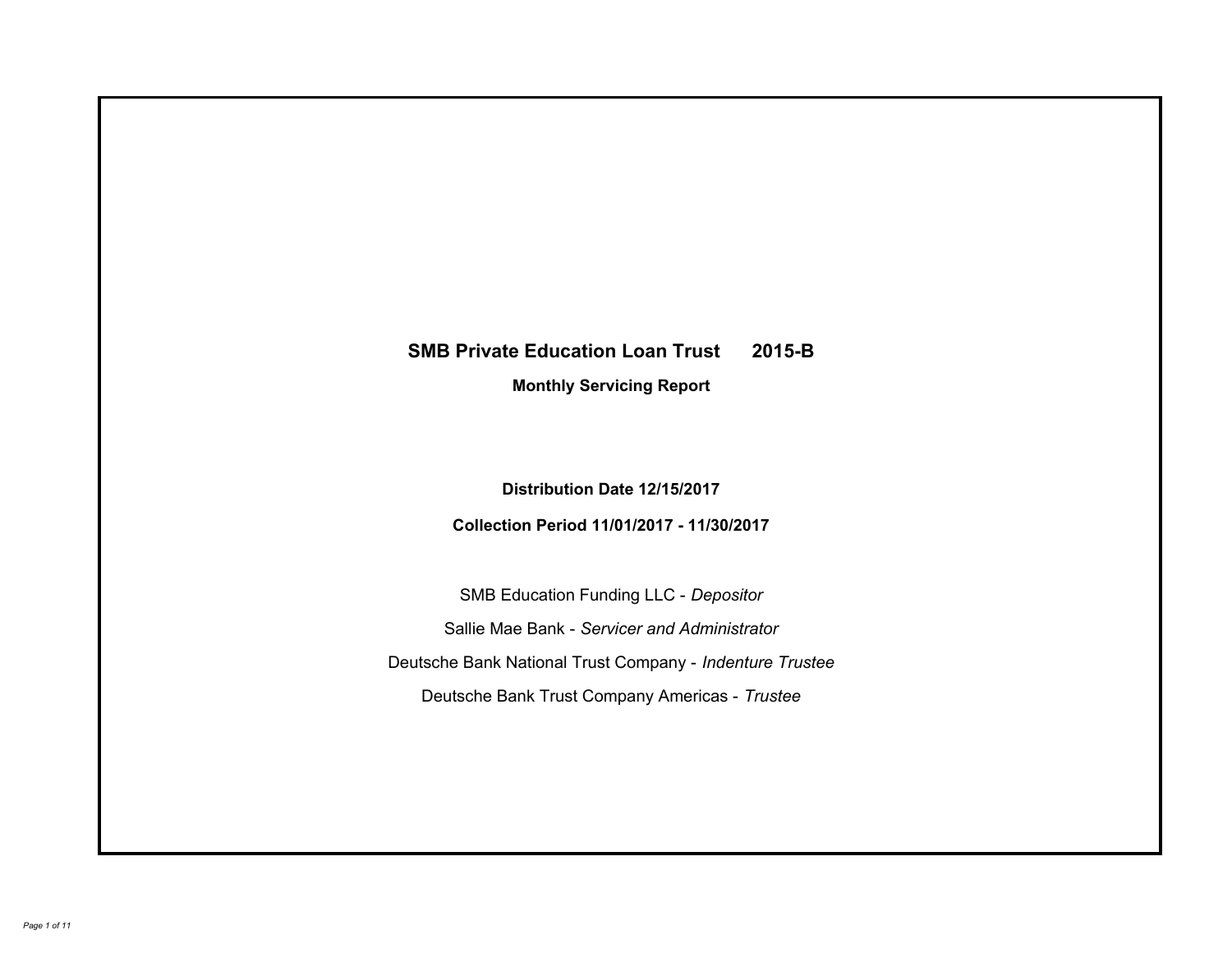# **SMB Private Education Loan Trust 2015-B Monthly Servicing Report**

**Distribution Date 12/15/2017**

**Collection Period 11/01/2017 - 11/30/2017**

SMB Education Funding LLC - *Depositor* Sallie Mae Bank - *Servicer and Administrator* Deutsche Bank National Trust Company - *Indenture Trustee* Deutsche Bank Trust Company Americas - *Trustee*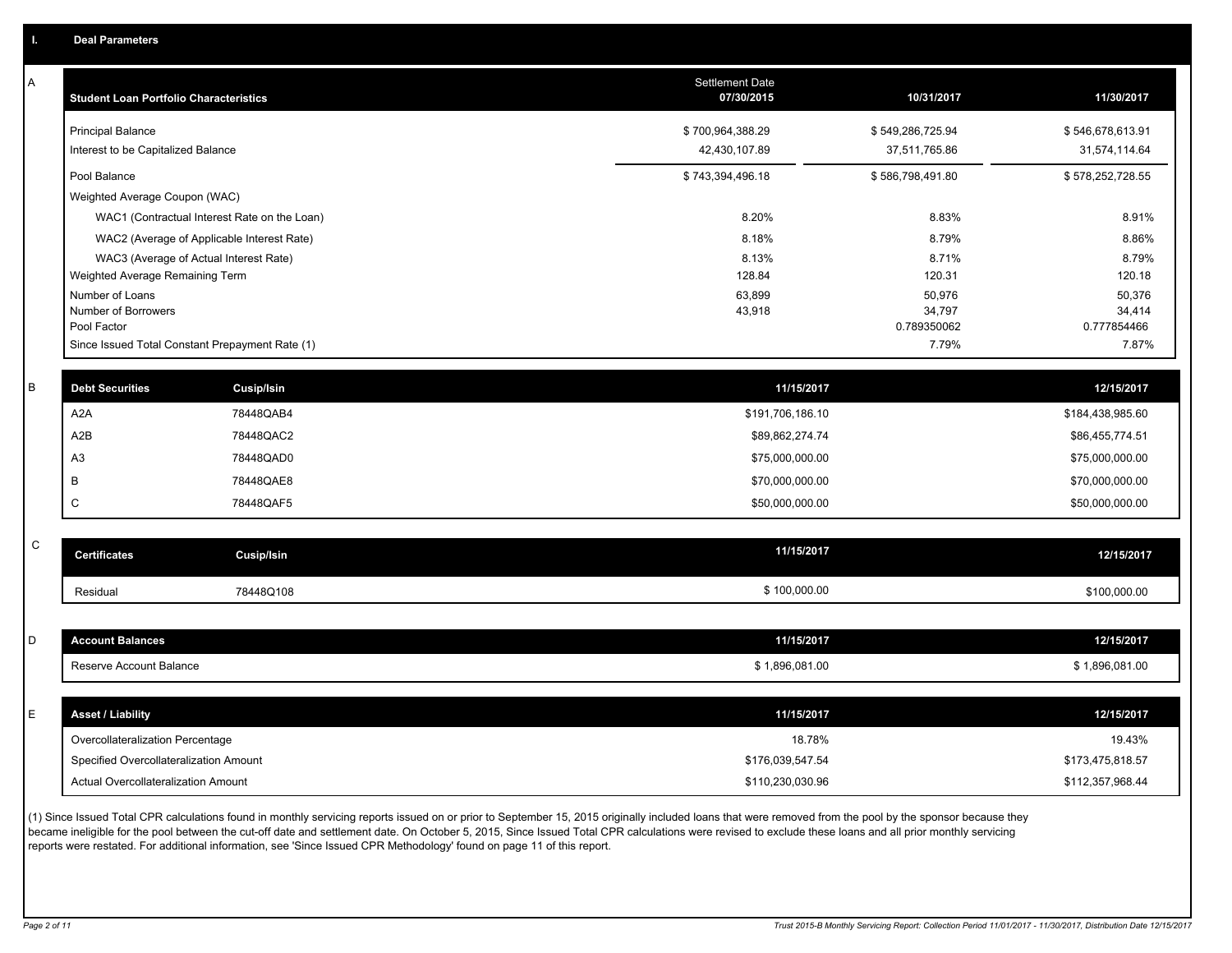A

| Α           | <b>Student Loan Portfolio Characteristics</b>   |                                              | Settlement Date<br>07/30/2015 | 10/31/2017            | 11/30/2017            |
|-------------|-------------------------------------------------|----------------------------------------------|-------------------------------|-----------------------|-----------------------|
|             | <b>Principal Balance</b>                        |                                              | \$700,964,388.29              | \$549,286,725.94      | \$546,678,613.91      |
|             | Interest to be Capitalized Balance              |                                              | 42,430,107.89                 | 37,511,765.86         | 31,574,114.64         |
|             | Pool Balance                                    |                                              | \$743,394,496.18              | \$586,798,491.80      | \$578,252,728.55      |
|             | Weighted Average Coupon (WAC)                   |                                              |                               |                       |                       |
|             |                                                 | WAC1 (Contractual Interest Rate on the Loan) | 8.20%                         | 8.83%                 | 8.91%                 |
|             | WAC2 (Average of Applicable Interest Rate)      |                                              | 8.18%                         | 8.79%                 | 8.86%                 |
|             | WAC3 (Average of Actual Interest Rate)          |                                              | 8.13%                         | 8.71%                 | 8.79%                 |
|             | Weighted Average Remaining Term                 |                                              | 128.84                        | 120.31                | 120.18                |
|             | Number of Loans                                 |                                              | 63,899                        | 50,976                | 50,376                |
|             | Number of Borrowers<br>Pool Factor              |                                              | 43,918                        | 34,797<br>0.789350062 | 34,414<br>0.777854466 |
|             | Since Issued Total Constant Prepayment Rate (1) |                                              |                               | 7.79%                 | 7.87%                 |
|             |                                                 |                                              |                               |                       |                       |
| В           | <b>Debt Securities</b>                          | Cusip/Isin                                   | 11/15/2017                    |                       | 12/15/2017            |
|             | A2A                                             | 78448QAB4                                    | \$191,706,186.10              |                       | \$184,438,985.60      |
|             | A <sub>2</sub> B                                | 78448QAC2                                    | \$89,862,274.74               |                       | \$86,455,774.51       |
|             | A <sub>3</sub>                                  | 78448QAD0                                    | \$75,000,000.00               |                       | \$75,000,000.00       |
|             | B                                               | 78448QAE8                                    | \$70,000,000.00               |                       | \$70,000,000.00       |
|             | $\mathsf C$                                     | 78448QAF5                                    | \$50,000,000.00               |                       | \$50,000,000.00       |
|             |                                                 |                                              |                               |                       |                       |
| $\mathsf C$ | <b>Certificates</b>                             | Cusip/Isin                                   | 11/15/2017                    |                       | 12/15/2017            |
|             | Residual                                        | 78448Q108                                    | \$100,000.00                  |                       | \$100,000.00          |
|             |                                                 |                                              |                               |                       |                       |
| D           | <b>Account Balances</b>                         |                                              | 11/15/2017                    |                       | 12/15/2017            |
|             | Reserve Account Balance                         |                                              | \$1,896,081.00                |                       | \$1,896,081.00        |
|             |                                                 |                                              |                               |                       |                       |
| E           | <b>Asset / Liability</b>                        |                                              | 11/15/2017                    |                       | 12/15/2017            |
|             | Overcollateralization Percentage                |                                              | 18.78%                        |                       | 19.43%                |
|             | Specified Overcollateralization Amount          |                                              | \$176,039,547.54              |                       | \$173,475,818.57      |
|             | Actual Overcollateralization Amount             |                                              | \$110,230,030.96              |                       | \$112,357,968.44      |
|             |                                                 |                                              |                               |                       |                       |

(1) Since Issued Total CPR calculations found in monthly servicing reports issued on or prior to September 15, 2015 originally included loans that were removed from the pool by the sponsor because they became ineligible for the pool between the cut-off date and settlement date. On October 5, 2015, Since Issued Total CPR calculations were revised to exclude these loans and all prior monthly servicing reports were restated. For additional information, see 'Since Issued CPR Methodology' found on page 11 of this report.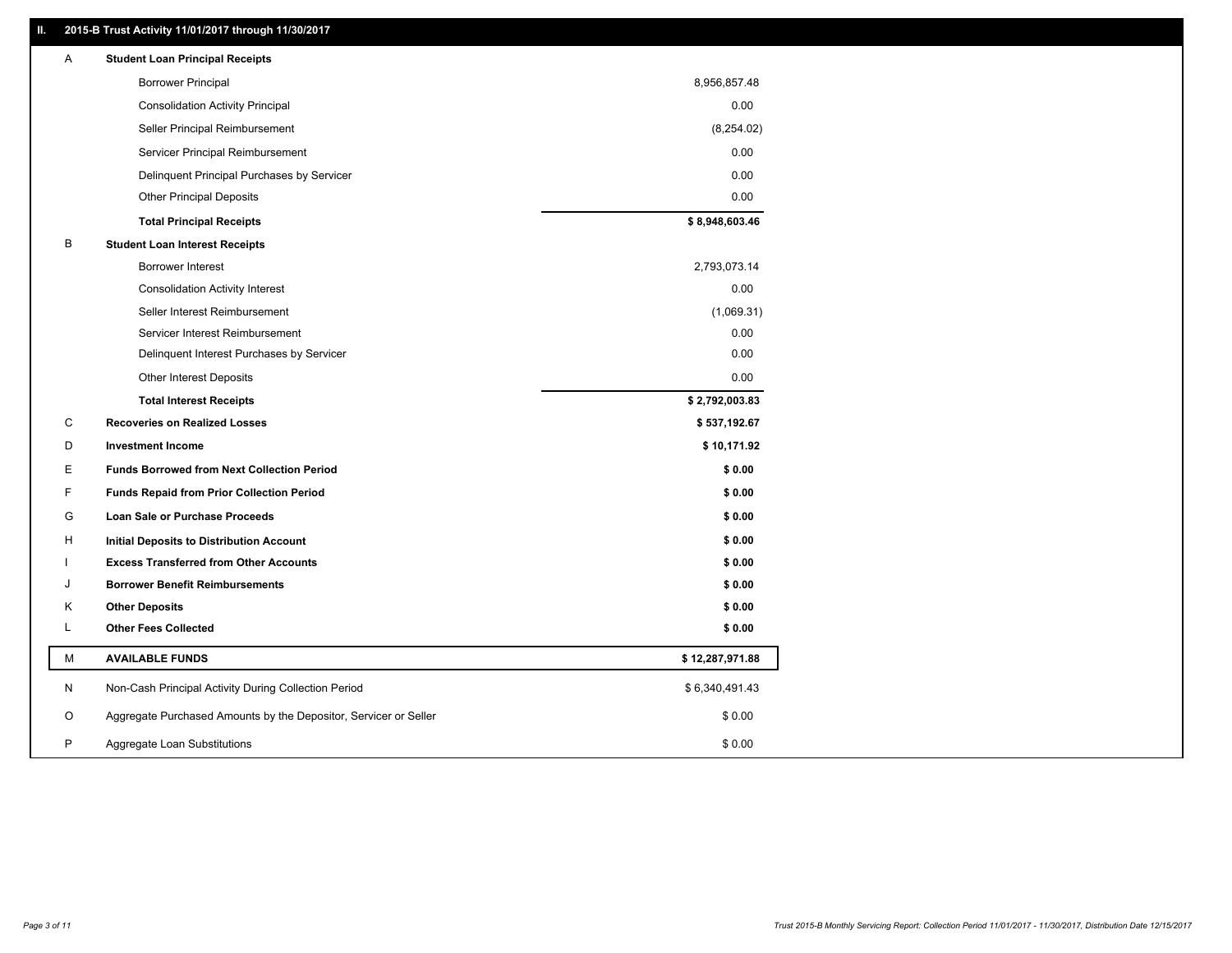# **II. 2015-B Trust Activity 11/01/2017 through 11/30/2017**

| <b>Borrower Principal</b><br>8,956,857.48<br>0.00<br><b>Consolidation Activity Principal</b><br>(8,254.02)<br>Seller Principal Reimbursement<br>0.00<br>Servicer Principal Reimbursement<br>0.00<br>Delinquent Principal Purchases by Servicer<br><b>Other Principal Deposits</b><br>0.00<br>\$8,948,603.46<br><b>Total Principal Receipts</b><br>В<br><b>Student Loan Interest Receipts</b><br>Borrower Interest<br>2,793,073.14<br>0.00<br><b>Consolidation Activity Interest</b><br>Seller Interest Reimbursement<br>(1,069.31)<br>0.00<br>Servicer Interest Reimbursement<br>0.00<br>Delinquent Interest Purchases by Servicer<br>0.00<br><b>Other Interest Deposits</b><br>\$2,792,003.83<br><b>Total Interest Receipts</b><br>C<br><b>Recoveries on Realized Losses</b><br>\$537,192.67<br>\$10,171.92<br>D<br><b>Investment Income</b><br>Е<br>\$0.00<br><b>Funds Borrowed from Next Collection Period</b><br>F<br><b>Funds Repaid from Prior Collection Period</b><br>\$0.00<br>G<br>\$0.00<br>Loan Sale or Purchase Proceeds<br>\$0.00<br>н<br>Initial Deposits to Distribution Account<br>\$0.00<br><b>Excess Transferred from Other Accounts</b><br><b>Borrower Benefit Reimbursements</b><br>\$0.00<br>J<br>Κ<br><b>Other Deposits</b><br>\$0.00<br><b>Other Fees Collected</b><br>L<br>\$0.00<br>М<br><b>AVAILABLE FUNDS</b><br>\$12,287,971.88<br>N<br>Non-Cash Principal Activity During Collection Period<br>\$6,340,491.43<br>O<br>Aggregate Purchased Amounts by the Depositor, Servicer or Seller<br>\$0.00<br>P<br>Aggregate Loan Substitutions<br>\$0.00 | Α | <b>Student Loan Principal Receipts</b> |  |
|-------------------------------------------------------------------------------------------------------------------------------------------------------------------------------------------------------------------------------------------------------------------------------------------------------------------------------------------------------------------------------------------------------------------------------------------------------------------------------------------------------------------------------------------------------------------------------------------------------------------------------------------------------------------------------------------------------------------------------------------------------------------------------------------------------------------------------------------------------------------------------------------------------------------------------------------------------------------------------------------------------------------------------------------------------------------------------------------------------------------------------------------------------------------------------------------------------------------------------------------------------------------------------------------------------------------------------------------------------------------------------------------------------------------------------------------------------------------------------------------------------------------------------------------------------------------------------|---|----------------------------------------|--|
|                                                                                                                                                                                                                                                                                                                                                                                                                                                                                                                                                                                                                                                                                                                                                                                                                                                                                                                                                                                                                                                                                                                                                                                                                                                                                                                                                                                                                                                                                                                                                                               |   |                                        |  |
|                                                                                                                                                                                                                                                                                                                                                                                                                                                                                                                                                                                                                                                                                                                                                                                                                                                                                                                                                                                                                                                                                                                                                                                                                                                                                                                                                                                                                                                                                                                                                                               |   |                                        |  |
|                                                                                                                                                                                                                                                                                                                                                                                                                                                                                                                                                                                                                                                                                                                                                                                                                                                                                                                                                                                                                                                                                                                                                                                                                                                                                                                                                                                                                                                                                                                                                                               |   |                                        |  |
|                                                                                                                                                                                                                                                                                                                                                                                                                                                                                                                                                                                                                                                                                                                                                                                                                                                                                                                                                                                                                                                                                                                                                                                                                                                                                                                                                                                                                                                                                                                                                                               |   |                                        |  |
|                                                                                                                                                                                                                                                                                                                                                                                                                                                                                                                                                                                                                                                                                                                                                                                                                                                                                                                                                                                                                                                                                                                                                                                                                                                                                                                                                                                                                                                                                                                                                                               |   |                                        |  |
|                                                                                                                                                                                                                                                                                                                                                                                                                                                                                                                                                                                                                                                                                                                                                                                                                                                                                                                                                                                                                                                                                                                                                                                                                                                                                                                                                                                                                                                                                                                                                                               |   |                                        |  |
|                                                                                                                                                                                                                                                                                                                                                                                                                                                                                                                                                                                                                                                                                                                                                                                                                                                                                                                                                                                                                                                                                                                                                                                                                                                                                                                                                                                                                                                                                                                                                                               |   |                                        |  |
|                                                                                                                                                                                                                                                                                                                                                                                                                                                                                                                                                                                                                                                                                                                                                                                                                                                                                                                                                                                                                                                                                                                                                                                                                                                                                                                                                                                                                                                                                                                                                                               |   |                                        |  |
|                                                                                                                                                                                                                                                                                                                                                                                                                                                                                                                                                                                                                                                                                                                                                                                                                                                                                                                                                                                                                                                                                                                                                                                                                                                                                                                                                                                                                                                                                                                                                                               |   |                                        |  |
|                                                                                                                                                                                                                                                                                                                                                                                                                                                                                                                                                                                                                                                                                                                                                                                                                                                                                                                                                                                                                                                                                                                                                                                                                                                                                                                                                                                                                                                                                                                                                                               |   |                                        |  |
|                                                                                                                                                                                                                                                                                                                                                                                                                                                                                                                                                                                                                                                                                                                                                                                                                                                                                                                                                                                                                                                                                                                                                                                                                                                                                                                                                                                                                                                                                                                                                                               |   |                                        |  |
|                                                                                                                                                                                                                                                                                                                                                                                                                                                                                                                                                                                                                                                                                                                                                                                                                                                                                                                                                                                                                                                                                                                                                                                                                                                                                                                                                                                                                                                                                                                                                                               |   |                                        |  |
|                                                                                                                                                                                                                                                                                                                                                                                                                                                                                                                                                                                                                                                                                                                                                                                                                                                                                                                                                                                                                                                                                                                                                                                                                                                                                                                                                                                                                                                                                                                                                                               |   |                                        |  |
|                                                                                                                                                                                                                                                                                                                                                                                                                                                                                                                                                                                                                                                                                                                                                                                                                                                                                                                                                                                                                                                                                                                                                                                                                                                                                                                                                                                                                                                                                                                                                                               |   |                                        |  |
|                                                                                                                                                                                                                                                                                                                                                                                                                                                                                                                                                                                                                                                                                                                                                                                                                                                                                                                                                                                                                                                                                                                                                                                                                                                                                                                                                                                                                                                                                                                                                                               |   |                                        |  |
|                                                                                                                                                                                                                                                                                                                                                                                                                                                                                                                                                                                                                                                                                                                                                                                                                                                                                                                                                                                                                                                                                                                                                                                                                                                                                                                                                                                                                                                                                                                                                                               |   |                                        |  |
|                                                                                                                                                                                                                                                                                                                                                                                                                                                                                                                                                                                                                                                                                                                                                                                                                                                                                                                                                                                                                                                                                                                                                                                                                                                                                                                                                                                                                                                                                                                                                                               |   |                                        |  |
|                                                                                                                                                                                                                                                                                                                                                                                                                                                                                                                                                                                                                                                                                                                                                                                                                                                                                                                                                                                                                                                                                                                                                                                                                                                                                                                                                                                                                                                                                                                                                                               |   |                                        |  |
|                                                                                                                                                                                                                                                                                                                                                                                                                                                                                                                                                                                                                                                                                                                                                                                                                                                                                                                                                                                                                                                                                                                                                                                                                                                                                                                                                                                                                                                                                                                                                                               |   |                                        |  |
|                                                                                                                                                                                                                                                                                                                                                                                                                                                                                                                                                                                                                                                                                                                                                                                                                                                                                                                                                                                                                                                                                                                                                                                                                                                                                                                                                                                                                                                                                                                                                                               |   |                                        |  |
|                                                                                                                                                                                                                                                                                                                                                                                                                                                                                                                                                                                                                                                                                                                                                                                                                                                                                                                                                                                                                                                                                                                                                                                                                                                                                                                                                                                                                                                                                                                                                                               |   |                                        |  |
|                                                                                                                                                                                                                                                                                                                                                                                                                                                                                                                                                                                                                                                                                                                                                                                                                                                                                                                                                                                                                                                                                                                                                                                                                                                                                                                                                                                                                                                                                                                                                                               |   |                                        |  |
|                                                                                                                                                                                                                                                                                                                                                                                                                                                                                                                                                                                                                                                                                                                                                                                                                                                                                                                                                                                                                                                                                                                                                                                                                                                                                                                                                                                                                                                                                                                                                                               |   |                                        |  |
|                                                                                                                                                                                                                                                                                                                                                                                                                                                                                                                                                                                                                                                                                                                                                                                                                                                                                                                                                                                                                                                                                                                                                                                                                                                                                                                                                                                                                                                                                                                                                                               |   |                                        |  |
|                                                                                                                                                                                                                                                                                                                                                                                                                                                                                                                                                                                                                                                                                                                                                                                                                                                                                                                                                                                                                                                                                                                                                                                                                                                                                                                                                                                                                                                                                                                                                                               |   |                                        |  |
|                                                                                                                                                                                                                                                                                                                                                                                                                                                                                                                                                                                                                                                                                                                                                                                                                                                                                                                                                                                                                                                                                                                                                                                                                                                                                                                                                                                                                                                                                                                                                                               |   |                                        |  |
|                                                                                                                                                                                                                                                                                                                                                                                                                                                                                                                                                                                                                                                                                                                                                                                                                                                                                                                                                                                                                                                                                                                                                                                                                                                                                                                                                                                                                                                                                                                                                                               |   |                                        |  |
|                                                                                                                                                                                                                                                                                                                                                                                                                                                                                                                                                                                                                                                                                                                                                                                                                                                                                                                                                                                                                                                                                                                                                                                                                                                                                                                                                                                                                                                                                                                                                                               |   |                                        |  |
|                                                                                                                                                                                                                                                                                                                                                                                                                                                                                                                                                                                                                                                                                                                                                                                                                                                                                                                                                                                                                                                                                                                                                                                                                                                                                                                                                                                                                                                                                                                                                                               |   |                                        |  |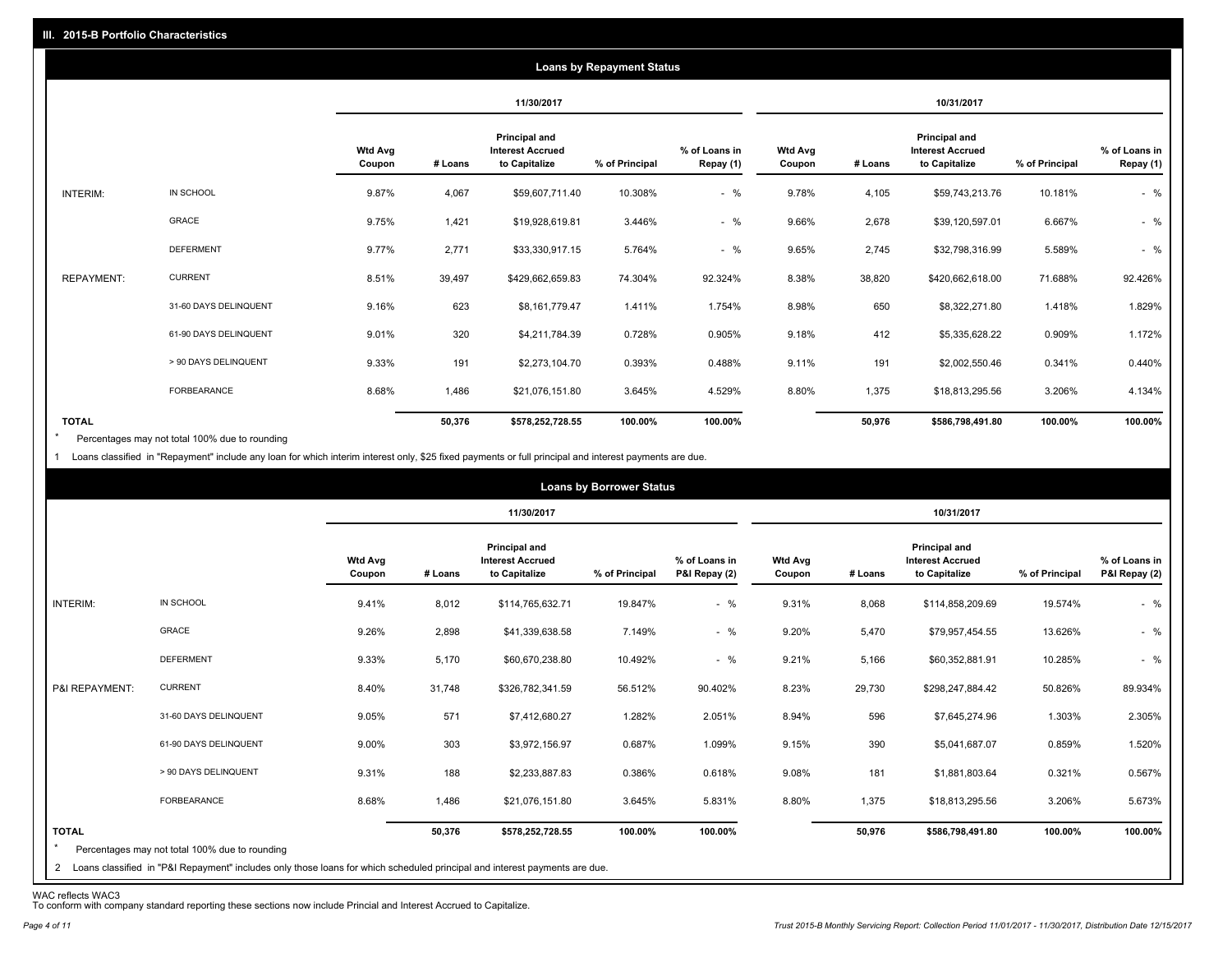|                   |                       |                          |         |                                                           | <b>Loans by Repayment Status</b> |                            |                          |         |                                                           |                |                            |
|-------------------|-----------------------|--------------------------|---------|-----------------------------------------------------------|----------------------------------|----------------------------|--------------------------|---------|-----------------------------------------------------------|----------------|----------------------------|
|                   |                       |                          |         | 11/30/2017                                                |                                  |                            |                          |         | 10/31/2017                                                |                |                            |
|                   |                       | <b>Wtd Avg</b><br>Coupon | # Loans | Principal and<br><b>Interest Accrued</b><br>to Capitalize | % of Principal                   | % of Loans in<br>Repay (1) | <b>Wtd Avg</b><br>Coupon | # Loans | Principal and<br><b>Interest Accrued</b><br>to Capitalize | % of Principal | % of Loans in<br>Repay (1) |
| INTERIM:          | IN SCHOOL             | 9.87%                    | 4,067   | \$59,607,711.40                                           | 10.308%                          | $-$ %                      | 9.78%                    | 4,105   | \$59,743,213.76                                           | 10.181%        | $-$ %                      |
|                   | GRACE                 | 9.75%                    | 1,421   | \$19,928,619.81                                           | 3.446%                           | $-$ %                      | 9.66%                    | 2,678   | \$39,120,597.01                                           | 6.667%         | $-$ %                      |
|                   | <b>DEFERMENT</b>      | 9.77%                    | 2,771   | \$33,330,917.15                                           | 5.764%                           | $-$ %                      | 9.65%                    | 2,745   | \$32,798,316.99                                           | 5.589%         | $-$ %                      |
| <b>REPAYMENT:</b> | <b>CURRENT</b>        | 8.51%                    | 39,497  | \$429,662,659.83                                          | 74.304%                          | 92.324%                    | 8.38%                    | 38,820  | \$420,662,618.00                                          | 71.688%        | 92.426%                    |
|                   | 31-60 DAYS DELINQUENT | 9.16%                    | 623     | \$8,161,779.47                                            | 1.411%                           | 1.754%                     | 8.98%                    | 650     | \$8,322,271.80                                            | 1.418%         | 1.829%                     |
|                   | 61-90 DAYS DELINQUENT | 9.01%                    | 320     | \$4,211,784.39                                            | 0.728%                           | 0.905%                     | 9.18%                    | 412     | \$5,335,628.22                                            | 0.909%         | 1.172%                     |
|                   | > 90 DAYS DELINQUENT  | 9.33%                    | 191     | \$2,273,104.70                                            | 0.393%                           | 0.488%                     | 9.11%                    | 191     | \$2,002,550.46                                            | 0.341%         | 0.440%                     |
|                   | FORBEARANCE           | 8.68%                    | 1,486   | \$21,076,151.80                                           | 3.645%                           | 4.529%                     | 8.80%                    | 1,375   | \$18,813,295.56                                           | 3.206%         | 4.134%                     |
| <b>TOTAL</b>      |                       |                          | 50,376  | \$578,252,728.55                                          | 100.00%                          | 100.00%                    |                          | 50,976  | \$586,798,491.80                                          | 100.00%        | 100.00%                    |

Percentages may not total 100% due to rounding \*

1 Loans classified in "Repayment" include any loan for which interim interest only, \$25 fixed payments or full principal and interest payments are due.

|                         |                                                                                                                                                                                |                          |         |                                                                  | <b>Loans by Borrower Status</b> |                                |                          |         |                                                                  |                |                                |
|-------------------------|--------------------------------------------------------------------------------------------------------------------------------------------------------------------------------|--------------------------|---------|------------------------------------------------------------------|---------------------------------|--------------------------------|--------------------------|---------|------------------------------------------------------------------|----------------|--------------------------------|
|                         |                                                                                                                                                                                |                          |         | 11/30/2017                                                       |                                 |                                |                          |         | 10/31/2017                                                       |                |                                |
|                         |                                                                                                                                                                                | <b>Wtd Avg</b><br>Coupon | # Loans | <b>Principal and</b><br><b>Interest Accrued</b><br>to Capitalize | % of Principal                  | % of Loans in<br>P&I Repay (2) | <b>Wtd Avg</b><br>Coupon | # Loans | <b>Principal and</b><br><b>Interest Accrued</b><br>to Capitalize | % of Principal | % of Loans in<br>P&I Repay (2) |
| INTERIM:                | IN SCHOOL                                                                                                                                                                      | 9.41%                    | 8,012   | \$114,765,632.71                                                 | 19.847%                         | $-$ %                          | 9.31%                    | 8,068   | \$114,858,209.69                                                 | 19.574%        | $-$ %                          |
|                         | GRACE                                                                                                                                                                          | 9.26%                    | 2,898   | \$41,339,638.58                                                  | 7.149%                          | $-$ %                          | 9.20%                    | 5,470   | \$79,957,454.55                                                  | 13.626%        | $-$ %                          |
|                         | <b>DEFERMENT</b>                                                                                                                                                               | 9.33%                    | 5,170   | \$60,670,238.80                                                  | 10.492%                         | $-$ %                          | 9.21%                    | 5,166   | \$60,352,881.91                                                  | 10.285%        | $-$ %                          |
| P&I REPAYMENT:          | <b>CURRENT</b>                                                                                                                                                                 | 8.40%                    | 31,748  | \$326,782,341.59                                                 | 56.512%                         | 90.402%                        | 8.23%                    | 29,730  | \$298,247,884.42                                                 | 50.826%        | 89.934%                        |
|                         | 31-60 DAYS DELINQUENT                                                                                                                                                          | 9.05%                    | 571     | \$7,412,680.27                                                   | 1.282%                          | 2.051%                         | 8.94%                    | 596     | \$7,645,274.96                                                   | 1.303%         | 2.305%                         |
|                         | 61-90 DAYS DELINQUENT                                                                                                                                                          | 9.00%                    | 303     | \$3,972,156.97                                                   | 0.687%                          | 1.099%                         | 9.15%                    | 390     | \$5,041,687.07                                                   | 0.859%         | 1.520%                         |
|                         | > 90 DAYS DELINQUENT                                                                                                                                                           | 9.31%                    | 188     | \$2,233,887.83                                                   | 0.386%                          | 0.618%                         | 9.08%                    | 181     | \$1,881,803.64                                                   | 0.321%         | 0.567%                         |
|                         | FORBEARANCE                                                                                                                                                                    | 8.68%                    | 1,486   | \$21,076,151.80                                                  | 3.645%                          | 5.831%                         | 8.80%                    | 1,375   | \$18,813,295.56                                                  | 3.206%         | 5.673%                         |
| <b>TOTAL</b><br>$\star$ | Percentages may not total 100% due to rounding<br>2 Loans classified in "P&I Repayment" includes only those loans for which scheduled principal and interest payments are due. |                          | 50,376  | \$578,252,728.55                                                 | 100.00%                         | 100.00%                        |                          | 50,976  | \$586,798,491.80                                                 | 100.00%        | 100.00%                        |

WAC reflects WAC3 To conform with company standard reporting these sections now include Princial and Interest Accrued to Capitalize.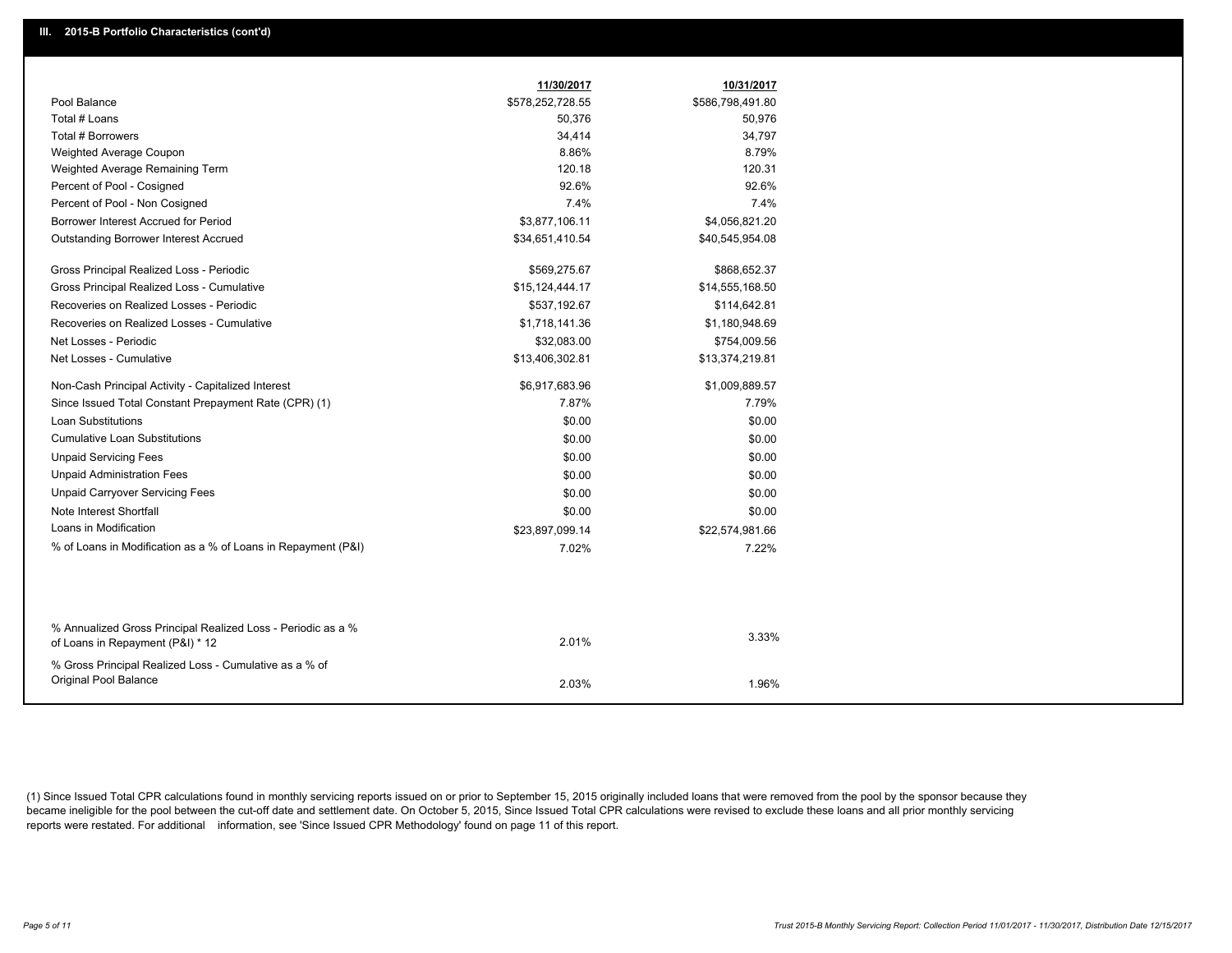|                                                                                                  | 11/30/2017       | 10/31/2017       |
|--------------------------------------------------------------------------------------------------|------------------|------------------|
| Pool Balance                                                                                     | \$578,252,728.55 | \$586,798,491.80 |
| Total # Loans                                                                                    | 50,376           | 50,976           |
| Total # Borrowers                                                                                | 34,414           | 34,797           |
| Weighted Average Coupon                                                                          | 8.86%            | 8.79%            |
| Weighted Average Remaining Term                                                                  | 120.18           | 120.31           |
| Percent of Pool - Cosigned                                                                       | 92.6%            | 92.6%            |
| Percent of Pool - Non Cosigned                                                                   | 7.4%             | 7.4%             |
| Borrower Interest Accrued for Period                                                             | \$3,877,106.11   | \$4,056,821.20   |
| <b>Outstanding Borrower Interest Accrued</b>                                                     | \$34,651,410.54  | \$40,545,954.08  |
| Gross Principal Realized Loss - Periodic                                                         | \$569,275.67     | \$868,652.37     |
| Gross Principal Realized Loss - Cumulative                                                       | \$15,124,444.17  | \$14,555,168.50  |
| Recoveries on Realized Losses - Periodic                                                         | \$537,192.67     | \$114,642.81     |
| Recoveries on Realized Losses - Cumulative                                                       | \$1,718,141.36   | \$1,180,948.69   |
| Net Losses - Periodic                                                                            | \$32,083.00      | \$754,009.56     |
| Net Losses - Cumulative                                                                          | \$13,406,302.81  | \$13,374,219.81  |
| Non-Cash Principal Activity - Capitalized Interest                                               | \$6,917,683.96   | \$1,009,889.57   |
| Since Issued Total Constant Prepayment Rate (CPR) (1)                                            | 7.87%            | 7.79%            |
| <b>Loan Substitutions</b>                                                                        | \$0.00           | \$0.00           |
| Cumulative Loan Substitutions                                                                    | \$0.00           | \$0.00           |
| <b>Unpaid Servicing Fees</b>                                                                     | \$0.00           | \$0.00           |
| <b>Unpaid Administration Fees</b>                                                                | \$0.00           | \$0.00           |
| <b>Unpaid Carryover Servicing Fees</b>                                                           | \$0.00           | \$0.00           |
| Note Interest Shortfall                                                                          | \$0.00           | \$0.00           |
| Loans in Modification                                                                            | \$23,897,099.14  | \$22,574,981.66  |
| % of Loans in Modification as a % of Loans in Repayment (P&I)                                    | 7.02%            | 7.22%            |
|                                                                                                  |                  |                  |
|                                                                                                  |                  |                  |
| % Annualized Gross Principal Realized Loss - Periodic as a %<br>of Loans in Repayment (P&I) * 12 | 2.01%            | 3.33%            |
| % Gross Principal Realized Loss - Cumulative as a % of                                           |                  |                  |
| Original Pool Balance                                                                            | 2.03%            | 1.96%            |

(1) Since Issued Total CPR calculations found in monthly servicing reports issued on or prior to September 15, 2015 originally included loans that were removed from the pool by the sponsor because they became ineligible for the pool between the cut-off date and settlement date. On October 5, 2015, Since Issued Total CPR calculations were revised to exclude these loans and all prior monthly servicing reports were restated. For additional information, see 'Since Issued CPR Methodology' found on page 11 of this report.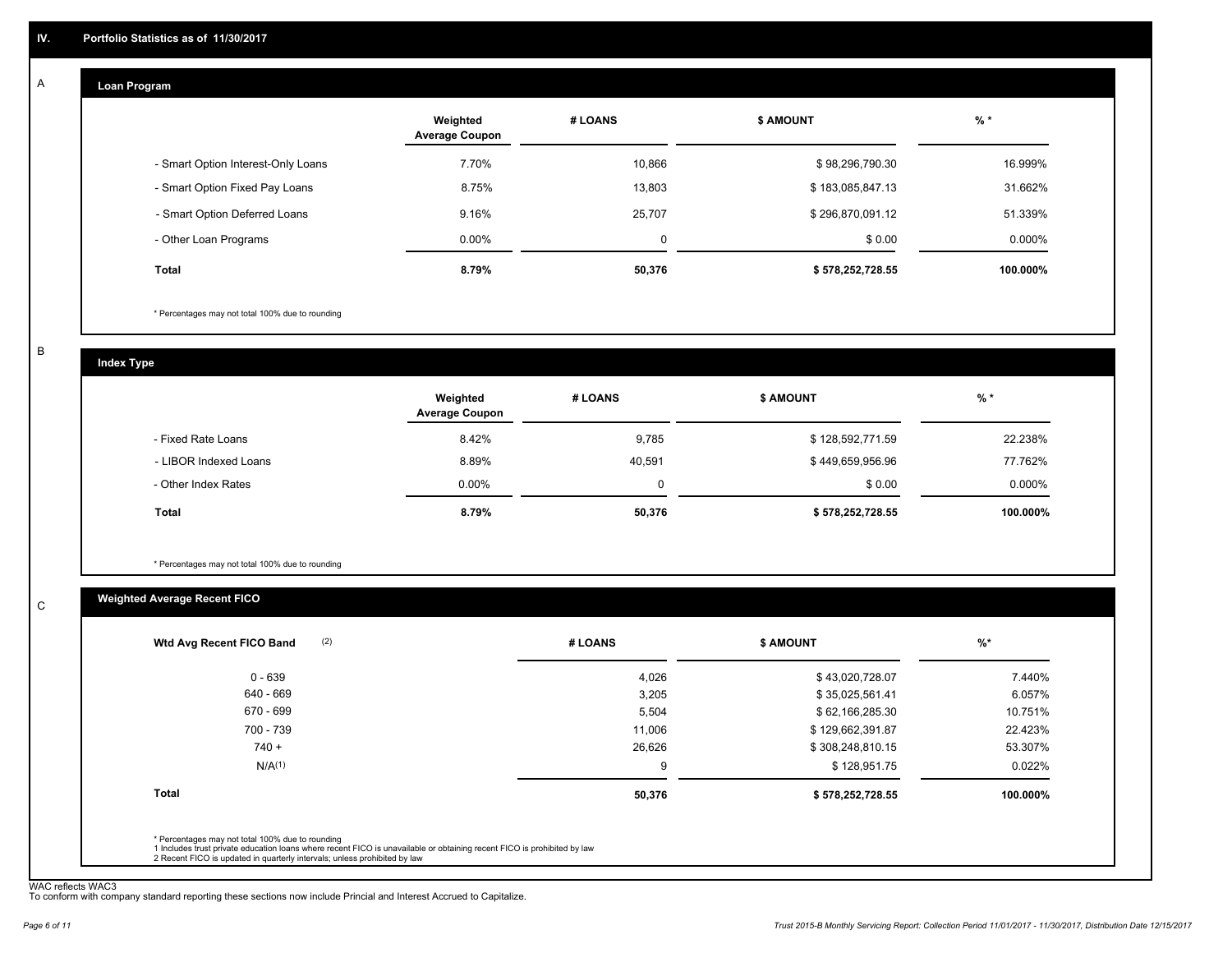#### **Loan Program**  A

|                                    | Weighted<br><b>Average Coupon</b> | # LOANS | <b>\$ AMOUNT</b> | $%$ *    |
|------------------------------------|-----------------------------------|---------|------------------|----------|
| - Smart Option Interest-Only Loans | 7.70%                             | 10,866  | \$98,296,790.30  | 16.999%  |
| - Smart Option Fixed Pay Loans     | 8.75%                             | 13,803  | \$183,085,847.13 | 31.662%  |
| - Smart Option Deferred Loans      | 9.16%                             | 25,707  | \$296,870,091.12 | 51.339%  |
| - Other Loan Programs              | $0.00\%$                          | 0       | \$0.00           | 0.000%   |
| <b>Total</b>                       | 8.79%                             | 50,376  | \$578,252,728.55 | 100.000% |

\* Percentages may not total 100% due to rounding

B

C

**Index Type**

|                       | Weighted<br><b>Average Coupon</b> | # LOANS  | <b>\$ AMOUNT</b> | $%$ *     |
|-----------------------|-----------------------------------|----------|------------------|-----------|
| - Fixed Rate Loans    | 8.42%                             | 9,785    | \$128,592,771.59 | 22.238%   |
| - LIBOR Indexed Loans | 8.89%                             | 40.591   | \$449,659,956.96 | 77.762%   |
| - Other Index Rates   | $0.00\%$                          | $\Omega$ | \$0.00           | $0.000\%$ |
| <b>Total</b>          | 8.79%                             | 50,376   | \$578,252,728.55 | 100.000%  |

\* Percentages may not total 100% due to rounding

# **Weighted Average Recent FICO**

| 4,026<br>3,205<br>5,504 | \$43,020,728.07<br>\$35,025,561.41 | 7.440%<br>6.057% |
|-------------------------|------------------------------------|------------------|
|                         |                                    |                  |
|                         |                                    |                  |
|                         | \$62,166,285.30                    | 10.751%          |
| 11,006                  | \$129,662,391.87                   | 22.423%          |
| 26,626                  | \$308,248,810.15                   | 53.307%          |
| 9                       | \$128,951.75                       | 0.022%           |
| 50,376                  | \$578,252,728.55                   | 100.000%         |
|                         |                                    |                  |

WAC reflects WAC3 To conform with company standard reporting these sections now include Princial and Interest Accrued to Capitalize.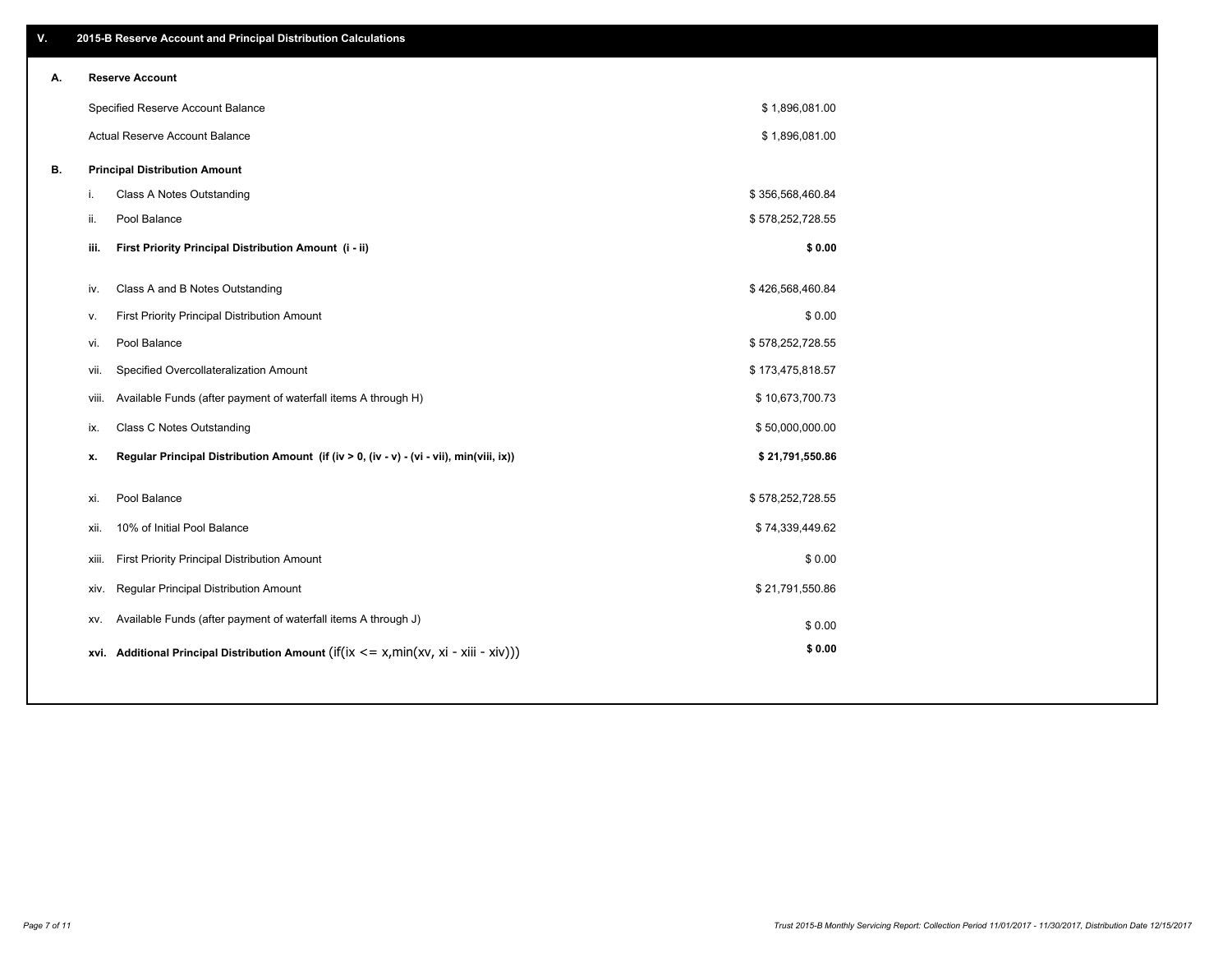| ۷. |                                                | 2015-B Reserve Account and Principal Distribution Calculations                             |                  |  |
|----|------------------------------------------------|--------------------------------------------------------------------------------------------|------------------|--|
| А. | <b>Reserve Account</b>                         |                                                                                            |                  |  |
|    | Specified Reserve Account Balance              |                                                                                            | \$1,896,081.00   |  |
|    | Actual Reserve Account Balance                 |                                                                                            | \$1,896,081.00   |  |
| В. | <b>Principal Distribution Amount</b>           |                                                                                            |                  |  |
|    | Class A Notes Outstanding<br>i.                |                                                                                            | \$356,568,460.84 |  |
|    | ii.<br>Pool Balance                            |                                                                                            | \$578,252,728.55 |  |
|    | iii.                                           | First Priority Principal Distribution Amount (i - ii)                                      | \$0.00           |  |
|    |                                                |                                                                                            |                  |  |
|    | Class A and B Notes Outstanding<br>iv.         |                                                                                            | \$426,568,460.84 |  |
|    | v.                                             | First Priority Principal Distribution Amount                                               | \$0.00           |  |
|    | Pool Balance<br>vi.                            |                                                                                            | \$578,252,728.55 |  |
|    | Specified Overcollateralization Amount<br>vii. |                                                                                            | \$173,475,818.57 |  |
|    | viii.                                          | Available Funds (after payment of waterfall items A through H)                             | \$10,673,700.73  |  |
|    | <b>Class C Notes Outstanding</b><br>ix.        |                                                                                            | \$50,000,000.00  |  |
|    | x.                                             | Regular Principal Distribution Amount (if (iv > 0, (iv - v) - (vi - vii), min(viii, ix))   | \$21,791,550.86  |  |
|    | Pool Balance<br>xi.                            |                                                                                            | \$578,252,728.55 |  |
|    | 10% of Initial Pool Balance<br>xii.            |                                                                                            | \$74,339,449.62  |  |
|    | xiii.                                          | First Priority Principal Distribution Amount                                               | \$0.00           |  |
|    | Regular Principal Distribution Amount<br>xiv.  |                                                                                            | \$21,791,550.86  |  |
|    | XV.                                            | Available Funds (after payment of waterfall items A through J)                             | \$0.00           |  |
|    |                                                | xvi. Additional Principal Distribution Amount (if(ix $\lt$ = x, min(xv, xi - xiii - xiv))) | \$0.00           |  |
|    |                                                |                                                                                            |                  |  |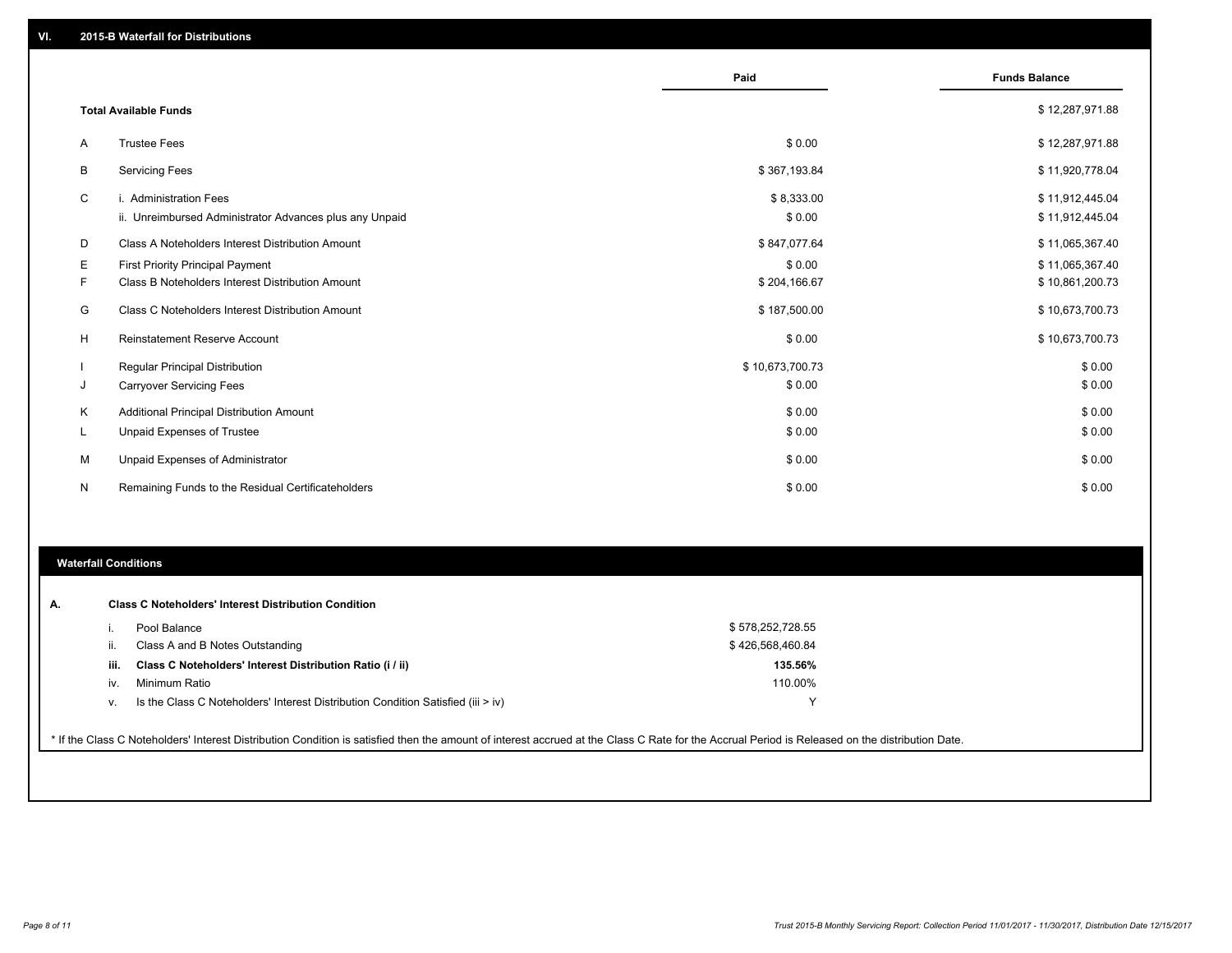|    |                                                                                   | Paid                 | <b>Funds Balance</b>               |
|----|-----------------------------------------------------------------------------------|----------------------|------------------------------------|
|    | <b>Total Available Funds</b>                                                      |                      | \$12,287,971.88                    |
| A  | <b>Trustee Fees</b>                                                               | \$0.00               | \$12,287,971.88                    |
| B  | <b>Servicing Fees</b>                                                             | \$367,193.84         | \$11,920,778.04                    |
| C  | i. Administration Fees<br>ii. Unreimbursed Administrator Advances plus any Unpaid | \$8,333.00<br>\$0.00 | \$11,912,445.04<br>\$11,912,445.04 |
| D  | Class A Noteholders Interest Distribution Amount                                  | \$847,077.64         | \$11,065,367.40                    |
| Е  | <b>First Priority Principal Payment</b>                                           | \$0.00               | \$11,065,367.40                    |
| F  | Class B Noteholders Interest Distribution Amount                                  | \$204,166.67         | \$10,861,200.73                    |
| G  | Class C Noteholders Interest Distribution Amount                                  | \$187,500.00         | \$10,673,700.73                    |
| н  | <b>Reinstatement Reserve Account</b>                                              | \$0.00               | \$10,673,700.73                    |
|    | <b>Regular Principal Distribution</b>                                             | \$10,673,700.73      | \$0.00                             |
| J  | <b>Carryover Servicing Fees</b>                                                   | \$0.00               | \$0.00                             |
| К  | Additional Principal Distribution Amount                                          | \$0.00               | \$0.00                             |
| ч. | Unpaid Expenses of Trustee                                                        | \$0.00               | \$0.00                             |
| М  | Unpaid Expenses of Administrator                                                  | \$0.00               | \$0.00                             |
| N  | Remaining Funds to the Residual Certificateholders                                | \$0.00               | \$0.00                             |

# **Waterfall Conditions**

|      | Pool Balance                                                                       | \$578,252,728.55 |  |
|------|------------------------------------------------------------------------------------|------------------|--|
|      | Class A and B Notes Outstanding                                                    | \$426,568,460.84 |  |
| iii. | Class C Noteholders' Interest Distribution Ratio (i / ii)                          | 135.56%          |  |
| iv.  | Minimum Ratio                                                                      | 110.00%          |  |
| v.   | Is the Class C Noteholders' Interest Distribution Condition Satisfied (iii $>$ iv) | $\checkmark$     |  |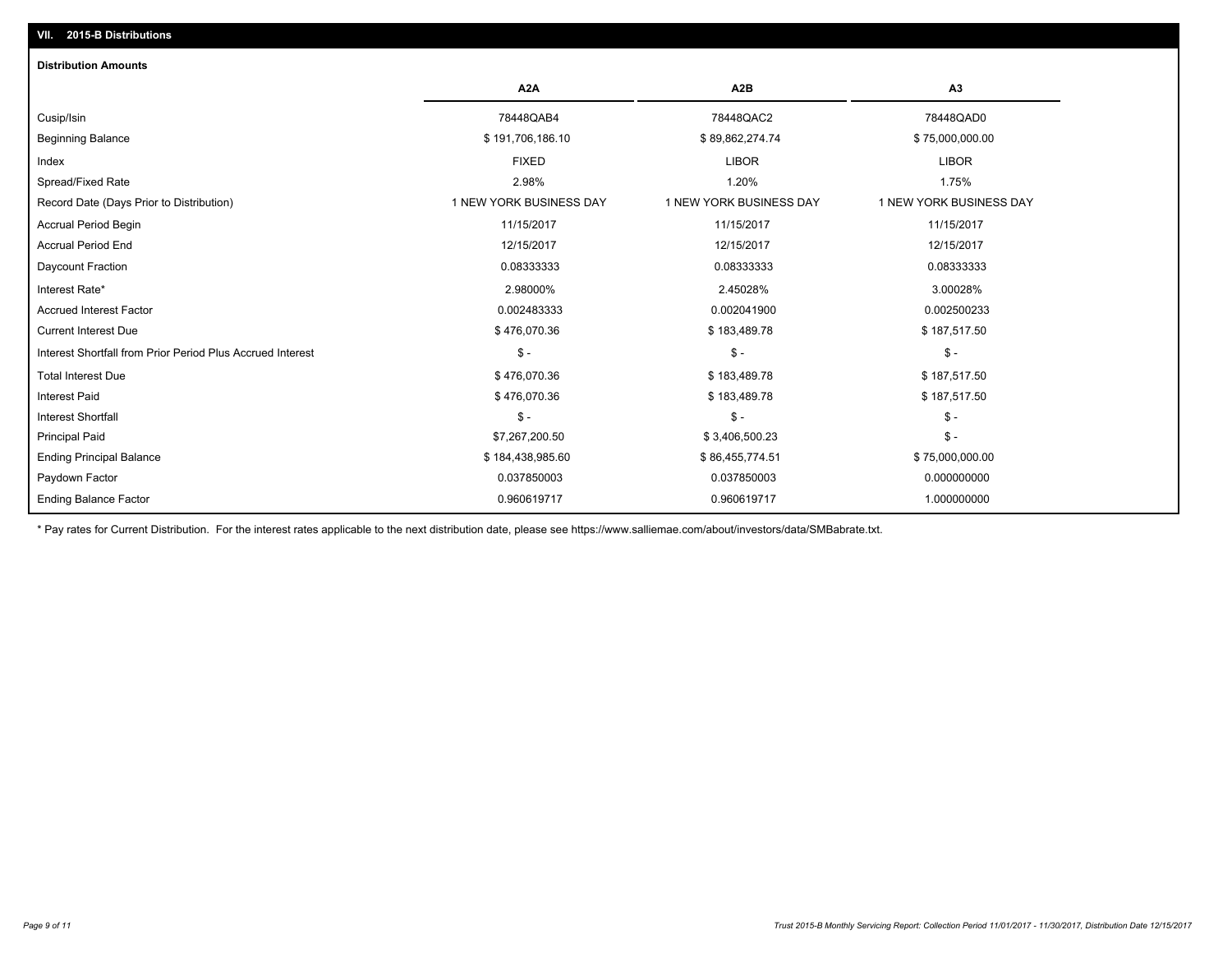# **VII. 2015-B Distributions**

| <b>Distribution Amounts</b>                                |                         |                         |                         |
|------------------------------------------------------------|-------------------------|-------------------------|-------------------------|
|                                                            | A <sub>2</sub> A        | A <sub>2</sub> B        | A <sub>3</sub>          |
| Cusip/Isin                                                 | 78448QAB4               | 78448QAC2               | 78448QAD0               |
| <b>Beginning Balance</b>                                   | \$191,706,186.10        | \$89,862,274.74         | \$75,000,000.00         |
| Index                                                      | <b>FIXED</b>            | <b>LIBOR</b>            | <b>LIBOR</b>            |
| Spread/Fixed Rate                                          | 2.98%                   | 1.20%                   | 1.75%                   |
| Record Date (Days Prior to Distribution)                   | 1 NEW YORK BUSINESS DAY | 1 NEW YORK BUSINESS DAY | 1 NEW YORK BUSINESS DAY |
| <b>Accrual Period Begin</b>                                | 11/15/2017              | 11/15/2017              | 11/15/2017              |
| <b>Accrual Period End</b>                                  | 12/15/2017              | 12/15/2017              | 12/15/2017              |
| Daycount Fraction                                          | 0.08333333              | 0.08333333              | 0.08333333              |
| Interest Rate*                                             | 2.98000%                | 2.45028%                | 3.00028%                |
| <b>Accrued Interest Factor</b>                             | 0.002483333             | 0.002041900             | 0.002500233             |
| <b>Current Interest Due</b>                                | \$476,070.36            | \$183,489.78            | \$187,517.50            |
| Interest Shortfall from Prior Period Plus Accrued Interest | $\mathsf{\$}$ -         | $\mathsf{\$}$ -         | $\mathsf{\$}$ -         |
| <b>Total Interest Due</b>                                  | \$476,070.36            | \$183,489.78            | \$187,517.50            |
| <b>Interest Paid</b>                                       | \$476,070.36            | \$183,489.78            | \$187,517.50            |
| <b>Interest Shortfall</b>                                  | $S -$                   | $\mathsf{\$}$ -         | $\mathsf{\$}$ -         |
| <b>Principal Paid</b>                                      | \$7,267,200.50          | \$3,406,500.23          | $\mathsf{\$}$ -         |
| <b>Ending Principal Balance</b>                            | \$184,438,985.60        | \$86,455,774.51         | \$75,000,000.00         |
| Paydown Factor                                             | 0.037850003             | 0.037850003             | 0.000000000             |
| <b>Ending Balance Factor</b>                               | 0.960619717             | 0.960619717             | 1.000000000             |

\* Pay rates for Current Distribution. For the interest rates applicable to the next distribution date, please see https://www.salliemae.com/about/investors/data/SMBabrate.txt.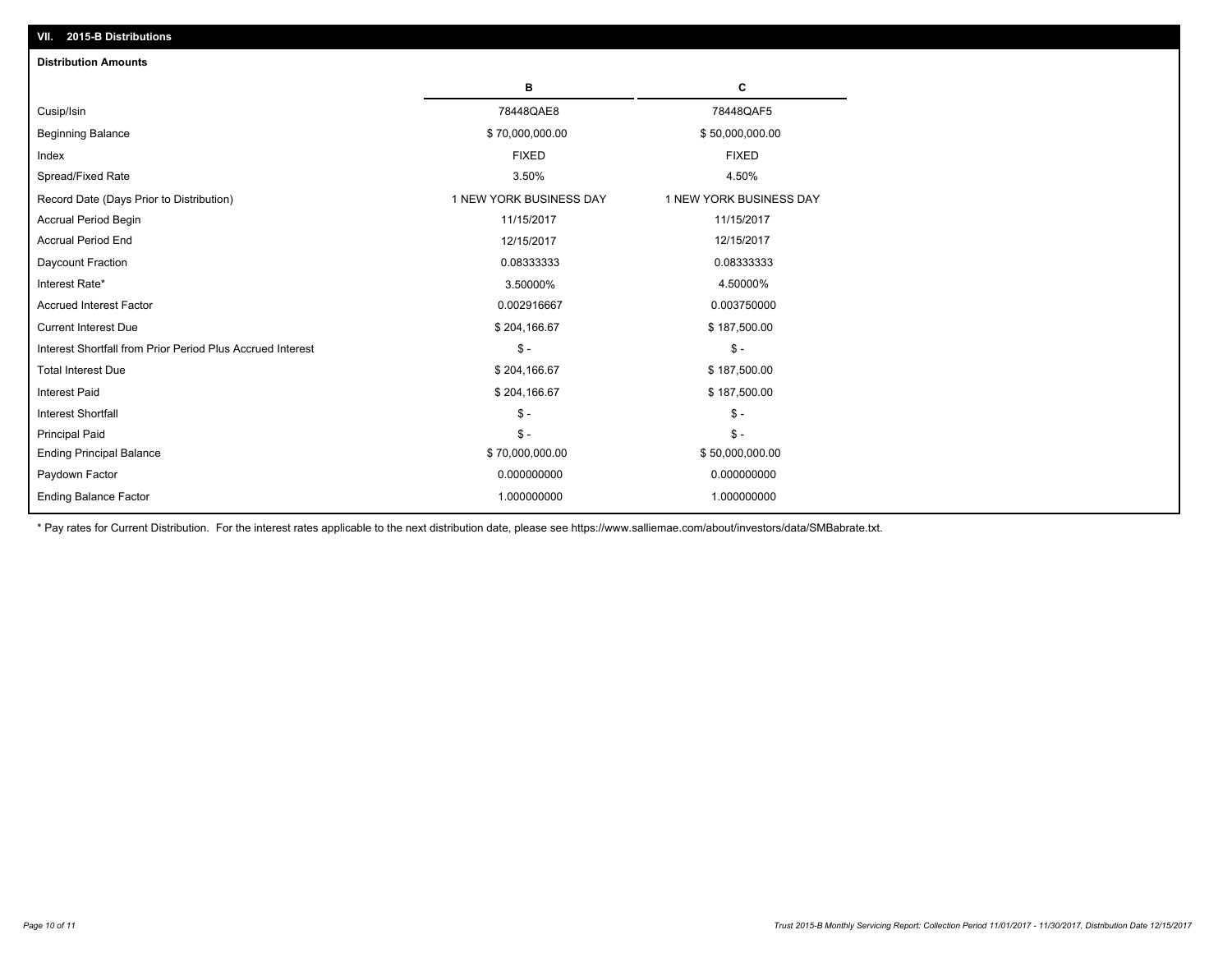| <b>Distribution Amounts</b>                                |                         |                         |
|------------------------------------------------------------|-------------------------|-------------------------|
|                                                            | в                       | C                       |
| Cusip/Isin                                                 | 78448QAE8               | 78448QAF5               |
| <b>Beginning Balance</b>                                   | \$70,000,000.00         | \$50,000,000.00         |
| Index                                                      | <b>FIXED</b>            | <b>FIXED</b>            |
| Spread/Fixed Rate                                          | 3.50%                   | 4.50%                   |
| Record Date (Days Prior to Distribution)                   | 1 NEW YORK BUSINESS DAY | 1 NEW YORK BUSINESS DAY |
| <b>Accrual Period Begin</b>                                | 11/15/2017              | 11/15/2017              |
| <b>Accrual Period End</b>                                  | 12/15/2017              | 12/15/2017              |
| Daycount Fraction                                          | 0.08333333              | 0.08333333              |
| Interest Rate*                                             | 3.50000%                | 4.50000%                |
| <b>Accrued Interest Factor</b>                             | 0.002916667             | 0.003750000             |
| <b>Current Interest Due</b>                                | \$204,166.67            | \$187,500.00            |
| Interest Shortfall from Prior Period Plus Accrued Interest | $\mathcal{S}$ -         | $$ -$                   |
| <b>Total Interest Due</b>                                  | \$204,166.67            | \$187,500.00            |
| <b>Interest Paid</b>                                       | \$204,166.67            | \$187,500.00            |
| <b>Interest Shortfall</b>                                  | $\mathbb{S}$ -          | $S -$                   |
| <b>Principal Paid</b>                                      | $\mathbb{S}$ -          | $S -$                   |
| <b>Ending Principal Balance</b>                            | \$70,000,000.00         | \$50,000,000.00         |
| Paydown Factor                                             | 0.000000000             | 0.000000000             |
| <b>Ending Balance Factor</b>                               | 1.000000000             | 1.000000000             |

\* Pay rates for Current Distribution. For the interest rates applicable to the next distribution date, please see https://www.salliemae.com/about/investors/data/SMBabrate.txt.

**VII. 2015-B Distributions**